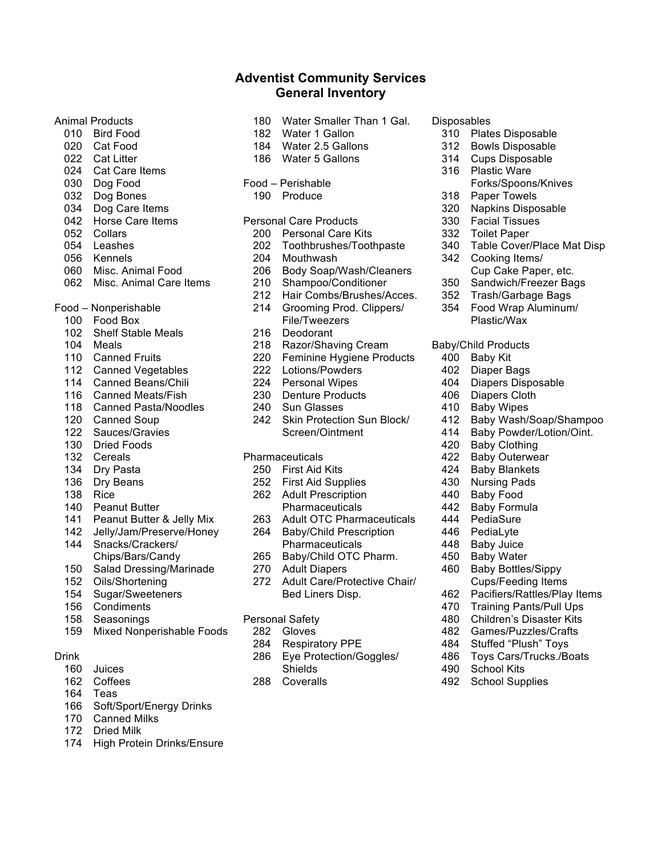# Animal Products

- Bird Food
- Cat Food
- 022 Cat Litter
- Cat Care Items
- Dog Food
- Dog Bones
- Dog Care Items
- Horse Care Items
- Collars
- Leashes
- Kennels
- Misc. Animal Food
- Misc. Animal Care Items
- Food Nonperishable
	- Food Box
	- Shelf Stable Meals
	- Meals
	- Canned Fruits
	- Canned Vegetables
	- Canned Beans/Chili
	- Canned Meats/Fish
	- Canned Pasta/Noodles
	- Canned Soup
	- Sauces/Gravies
	- Dried Foods
	- Cereals
	- Dry Pasta
	- Dry Beans
	- Rice
	- Peanut Butter
	- Peanut Butter & Jelly Mix
	- Jelly/Jam/Preserve/Honey
	- Snacks/Crackers/ Chips/Bars/Candy
	- Salad Dressing/Marinade
	- Oils/Shortening
	- Sugar/Sweeteners
	- Condiments
	- Seasonings
	- Mixed Nonperishable Foods

### Drink

- Juices
- Coffees
- Teas
- Soft/Sport/Energy Drinks
- Canned Milks
- Dried Milk
- High Protein Drinks/Ensure

Water Smaller Than 1 Gal.

**Adventist Community Services General Inventory**

- Water 1 Gallon
- Water 2.5 Gallons
- Water 5 Gallons
- Food Perishable
- Produce
- Personal Care Products
	- Personal Care Kits
	- Toothbrushes/Toothpaste
	- Mouthwash
	- Body Soap/Wash/Cleaners
	- Shampoo/Conditioner
	- Hair Combs/Brushes/Acces. Grooming Prod. Clippers/
	- File/Tweezers
	- Deodorant
	- Razor/Shaving Cream
	- Feminine Hygiene Products
	- Lotions/Powders
	- Personal Wipes
	- Denture Products
	- Sun Glasses
	- Skin Protection Sun Block/ Screen/Ointment
- Pharmaceuticals
	- First Aid Kits
	- First Aid Supplies
	- Adult Prescription Pharmaceuticals
	- Adult OTC Pharmaceuticals
	- Baby/Child Prescription
		- Pharmaceuticals
	- Baby/Child OTC Pharm.
	- Adult Diapers
	- Adult Care/Protective Chair/ Bed Liners Disp.
- Personal Safety
	- Gloves
	- Respiratory PPE
	- Eye Protection/Goggles/ Shields
	- Coveralls
- **Disposables** 
	- Plates Disposable
	- Bowls Disposable
	- 314 Cups Disposable<br>316 Plastic Ware
	- Plastic Ware Forks/Spoons/Knives
	- Paper Towels
	- Napkins Disposable
	- Facial Tissues
	- Toilet Paper
	- Table Cover/Place Mat Disp

 Baby Wash/Soap/Shampoo Baby Powder/Lotion/Oint.

Cups/Feeding Items Pacifiers/Rattles/Play Items Training Pants/Pull Ups Children's Disaster Kits Games/Puzzles/Crafts Stuffed "Plush" Toys Toys Cars/Trucks./Boats

- Cooking Items/ Cup Cake Paper, etc.
- Sandwich/Freezer Bags
- Trash/Garbage Bags
- Food Wrap Aluminum/
- Plastic/Wax

Baby/Child Products Baby Kit Diaper Bags Diapers Disposable Diapers Cloth Baby Wipes

 Baby Clothing Baby Outerwear Baby Blankets Nursing Pads Baby Food Baby Formula PediaSure PediaLyte Baby Juice Baby Water Baby Bottles/Sippy

 School Kits School Supplies